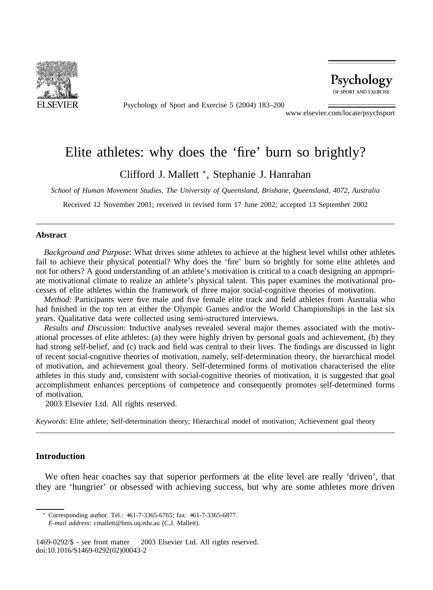

Psychology of Sport and Exercise 5 (2004) 183–200

Psychology OF SPORT AND EXERCISE

www.elsevier.com/locate/psychsport

# Elite athletes: why does the 'fire' burn so brightly?

Clifford J. Mallett <sup>∗</sup>, Stephanie J. Hanrahan

*School of Human Movement Studies, The University of Queensland, Brisbane, Queensland, 4072, Australia*

Received 12 November 2001; received in revised form 17 June 2002; accepted 13 September 2002

## **Abstract**

*Background and Purpose*: What drives some athletes to achieve at the highest level whilst other athletes fail to achieve their physical potential? Why does the 'fire' burn so brightly for some elite athletes and not for others? A good understanding of an athlete's motivation is critical to a coach designing an appropriate motivational climate to realize an athlete's physical talent. This paper examines the motivational processes of elite athletes within the framework of three major social-cognitive theories of motivation.

*Method*: Participants were five male and five female elite track and field athletes from Australia who had finished in the top ten at either the Olympic Games and/or the World Championships in the last six years. Qualitative data were collected using semi-structured interviews.

*Results and Discussion*: Inductive analyses revealed several major themes associated with the motivational processes of elite athletes: (a) they were highly driven by personal goals and achievement, (b) they had strong self-belief, and (c) track and field was central to their lives. The findings are discussed in light of recent social-cognitive theories of motivation, namely, self-determination theory, the hierarchical model of motivation, and achievement goal theory. Self-determined forms of motivation characterised the elite athletes in this study and, consistent with social-cognitive theories of motivation, it is suggested that goal accomplishment enhances perceptions of competence and consequently promotes self-determined forms of motivation.

2003 Elsevier Ltd. All rights reserved.

*Keywords:* Elite athlete; Self-determination theory; Hierarchical model of motivation; Achievement goal theory

# **Introduction**

We often hear coaches say that superior performers at the elite level are really 'driven', that they are 'hungrier' or obsessed with achieving success, but why are some athletes more driven

<sup>∗</sup> Corresponding author. Tel.: +61-7-3365-6765; fax: +61-7-3365-6877. *E-mail address:* cmallett@hms.uq.edu.au (C.J. Mallett).

<sup>1469-0292/\$ -</sup> see front matter 2003 Elsevier Ltd. All rights reserved. doi:10.1016/S1469-0292(02)00043-2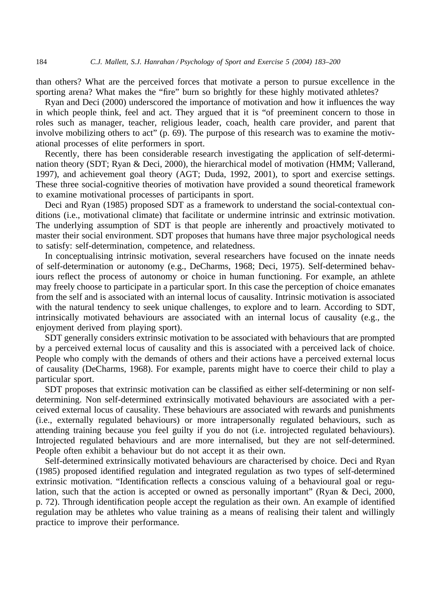than others? What are the perceived forces that motivate a person to pursue excellence in the sporting arena? What makes the "fire" burn so brightly for these highly motivated athletes?

Ryan and Deci (2000) underscored the importance of motivation and how it influences the way in which people think, feel and act. They argued that it is "of preeminent concern to those in roles such as manager, teacher, religious leader, coach, health care provider, and parent that involve mobilizing others to act" (p. 69). The purpose of this research was to examine the motivational processes of elite performers in sport.

Recently, there has been considerable research investigating the application of self-determination theory (SDT; Ryan & Deci, 2000), the hierarchical model of motivation (HMM; Vallerand, 1997), and achievement goal theory (AGT; Duda, 1992, 2001), to sport and exercise settings. These three social-cognitive theories of motivation have provided a sound theoretical framework to examine motivational processes of participants in sport.

Deci and Ryan (1985) proposed SDT as a framework to understand the social-contextual conditions (i.e., motivational climate) that facilitate or undermine intrinsic and extrinsic motivation. The underlying assumption of SDT is that people are inherently and proactively motivated to master their social environment. SDT proposes that humans have three major psychological needs to satisfy: self-determination, competence, and relatedness.

In conceptualising intrinsic motivation, several researchers have focused on the innate needs of self-determination or autonomy (e.g., DeCharms, 1968; Deci, 1975). Self-determined behaviours reflect the process of autonomy or choice in human functioning. For example, an athlete may freely choose to participate in a particular sport. In this case the perception of choice emanates from the self and is associated with an internal locus of causality. Intrinsic motivation is associated with the natural tendency to seek unique challenges, to explore and to learn. According to SDT, intrinsically motivated behaviours are associated with an internal locus of causality (e.g., the enjoyment derived from playing sport).

SDT generally considers extrinsic motivation to be associated with behaviours that are prompted by a perceived external locus of causality and this is associated with a perceived lack of choice. People who comply with the demands of others and their actions have a perceived external locus of causality (DeCharms, 1968). For example, parents might have to coerce their child to play a particular sport.

SDT proposes that extrinsic motivation can be classified as either self-determining or non selfdetermining. Non self-determined extrinsically motivated behaviours are associated with a perceived external locus of causality. These behaviours are associated with rewards and punishments (i.e., externally regulated behaviours) or more intrapersonally regulated behaviours, such as attending training because you feel guilty if you do not (i.e. introjected regulated behaviours). Introjected regulated behaviours and are more internalised, but they are not self-determined. People often exhibit a behaviour but do not accept it as their own.

Self-determined extrinsically motivated behaviours are characterised by choice. Deci and Ryan (1985) proposed identified regulation and integrated regulation as two types of self-determined extrinsic motivation. "Identification reflects a conscious valuing of a behavioural goal or regulation, such that the action is accepted or owned as personally important" (Ryan & Deci, 2000, p. 72). Through identification people accept the regulation as their own. An example of identified regulation may be athletes who value training as a means of realising their talent and willingly practice to improve their performance.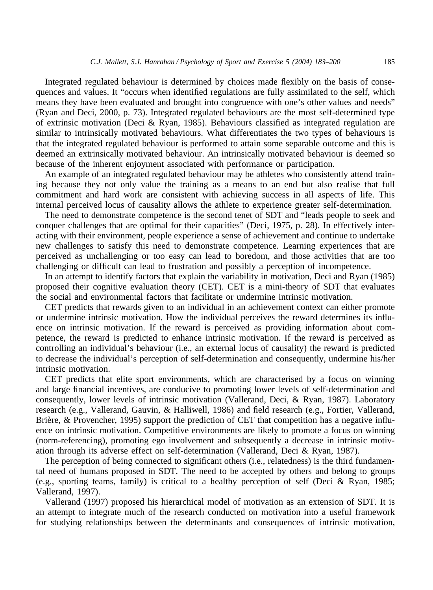Integrated regulated behaviour is determined by choices made flexibly on the basis of consequences and values. It "occurs when identified regulations are fully assimilated to the self, which means they have been evaluated and brought into congruence with one's other values and needs" (Ryan and Deci, 2000, p. 73). Integrated regulated behaviours are the most self-determined type of extrinsic motivation (Deci & Ryan, 1985). Behaviours classified as integrated regulation are similar to intrinsically motivated behaviours. What differentiates the two types of behaviours is that the integrated regulated behaviour is performed to attain some separable outcome and this is deemed an extrinsically motivated behaviour. An intrinsically motivated behaviour is deemed so because of the inherent enjoyment associated with performance or participation.

An example of an integrated regulated behaviour may be athletes who consistently attend training because they not only value the training as a means to an end but also realise that full commitment and hard work are consistent with achieving success in all aspects of life. This internal perceived locus of causality allows the athlete to experience greater self-determination.

The need to demonstrate competence is the second tenet of SDT and "leads people to seek and conquer challenges that are optimal for their capacities" (Deci, 1975, p. 28). In effectively interacting with their environment, people experience a sense of achievement and continue to undertake new challenges to satisfy this need to demonstrate competence. Learning experiences that are perceived as unchallenging or too easy can lead to boredom, and those activities that are too challenging or difficult can lead to frustration and possibly a perception of incompetence.

In an attempt to identify factors that explain the variability in motivation, Deci and Ryan (1985) proposed their cognitive evaluation theory (CET). CET is a mini-theory of SDT that evaluates the social and environmental factors that facilitate or undermine intrinsic motivation.

CET predicts that rewards given to an individual in an achievement context can either promote or undermine intrinsic motivation. How the individual perceives the reward determines its influence on intrinsic motivation. If the reward is perceived as providing information about competence, the reward is predicted to enhance intrinsic motivation. If the reward is perceived as controlling an individual's behaviour (i.e., an external locus of causality) the reward is predicted to decrease the individual's perception of self-determination and consequently, undermine his/her intrinsic motivation.

CET predicts that elite sport environments, which are characterised by a focus on winning and large financial incentives, are conducive to promoting lower levels of self-determination and consequently, lower levels of intrinsic motivation (Vallerand, Deci, & Ryan, 1987). Laboratory research (e.g., Vallerand, Gauvin, & Halliwell, 1986) and field research (e.g., Fortier, Vallerand, Briefre, & Provencher, 1995) support the prediction of CET that competition has a negative influence on intrinsic motivation. Competitive environments are likely to promote a focus on winning (norm-referencing), promoting ego involvement and subsequently a decrease in intrinsic motivation through its adverse effect on self-determination (Vallerand, Deci & Ryan, 1987).

The perception of being connected to significant others (i.e., relatedness) is the third fundamental need of humans proposed in SDT. The need to be accepted by others and belong to groups (e.g., sporting teams, family) is critical to a healthy perception of self (Deci & Ryan, 1985; Vallerand, 1997).

Vallerand (1997) proposed his hierarchical model of motivation as an extension of SDT. It is an attempt to integrate much of the research conducted on motivation into a useful framework for studying relationships between the determinants and consequences of intrinsic motivation,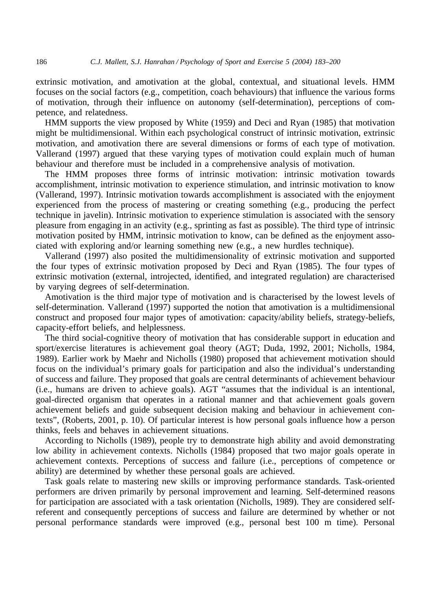extrinsic motivation, and amotivation at the global, contextual, and situational levels. HMM focuses on the social factors (e.g., competition, coach behaviours) that influence the various forms of motivation, through their influence on autonomy (self-determination), perceptions of competence, and relatedness.

HMM supports the view proposed by White (1959) and Deci and Ryan (1985) that motivation might be multidimensional. Within each psychological construct of intrinsic motivation, extrinsic motivation, and amotivation there are several dimensions or forms of each type of motivation. Vallerand (1997) argued that these varying types of motivation could explain much of human behaviour and therefore must be included in a comprehensive analysis of motivation.

The HMM proposes three forms of intrinsic motivation: intrinsic motivation towards accomplishment, intrinsic motivation to experience stimulation, and intrinsic motivation to know (Vallerand, 1997). Intrinsic motivation towards accomplishment is associated with the enjoyment experienced from the process of mastering or creating something (e.g., producing the perfect technique in javelin). Intrinsic motivation to experience stimulation is associated with the sensory pleasure from engaging in an activity (e.g., sprinting as fast as possible). The third type of intrinsic motivation posited by HMM, intrinsic motivation to know, can be defined as the enjoyment associated with exploring and/or learning something new (e.g., a new hurdles technique).

Vallerand (1997) also posited the multidimensionality of extrinsic motivation and supported the four types of extrinsic motivation proposed by Deci and Ryan (1985). The four types of extrinsic motivation (external, introjected, identified, and integrated regulation) are characterised by varying degrees of self-determination.

Amotivation is the third major type of motivation and is characterised by the lowest levels of self-determination. Vallerand (1997) supported the notion that amotivation is a multidimensional construct and proposed four major types of amotivation: capacity/ability beliefs, strategy-beliefs, capacity-effort beliefs, and helplessness.

The third social-cognitive theory of motivation that has considerable support in education and sport/exercise literatures is achievement goal theory (AGT; Duda, 1992, 2001; Nicholls, 1984, 1989). Earlier work by Maehr and Nicholls (1980) proposed that achievement motivation should focus on the individual's primary goals for participation and also the individual's understanding of success and failure. They proposed that goals are central determinants of achievement behaviour (i.e., humans are driven to achieve goals). AGT "assumes that the individual is an intentional, goal-directed organism that operates in a rational manner and that achievement goals govern achievement beliefs and guide subsequent decision making and behaviour in achievement contexts", (Roberts, 2001, p. 10). Of particular interest is how personal goals influence how a person thinks, feels and behaves in achievement situations.

According to Nicholls (1989), people try to demonstrate high ability and avoid demonstrating low ability in achievement contexts. Nicholls (1984) proposed that two major goals operate in achievement contexts. Perceptions of success and failure (i.e., perceptions of competence or ability) are determined by whether these personal goals are achieved.

Task goals relate to mastering new skills or improving performance standards. Task-oriented performers are driven primarily by personal improvement and learning. Self-determined reasons for participation are associated with a task orientation (Nicholls, 1989). They are considered selfreferent and consequently perceptions of success and failure are determined by whether or not personal performance standards were improved (e.g., personal best 100 m time). Personal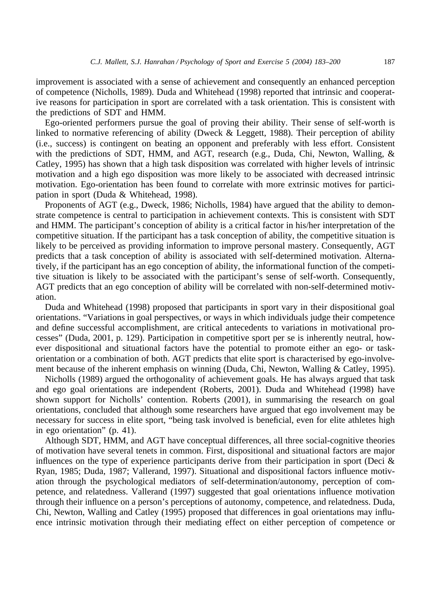improvement is associated with a sense of achievement and consequently an enhanced perception of competence (Nicholls, 1989). Duda and Whitehead (1998) reported that intrinsic and cooperative reasons for participation in sport are correlated with a task orientation. This is consistent with the predictions of SDT and HMM.

Ego-oriented performers pursue the goal of proving their ability. Their sense of self-worth is linked to normative referencing of ability (Dweck & Leggett, 1988). Their perception of ability (i.e., success) is contingent on beating an opponent and preferably with less effort. Consistent with the predictions of SDT, HMM, and AGT, research (e.g., Duda, Chi, Newton, Walling, & Catley, 1995) has shown that a high task disposition was correlated with higher levels of intrinsic motivation and a high ego disposition was more likely to be associated with decreased intrinsic motivation. Ego-orientation has been found to correlate with more extrinsic motives for participation in sport (Duda & Whitehead, 1998).

Proponents of AGT (e.g., Dweck, 1986; Nicholls, 1984) have argued that the ability to demonstrate competence is central to participation in achievement contexts. This is consistent with SDT and HMM. The participant's conception of ability is a critical factor in his/her interpretation of the competitive situation. If the participant has a task conception of ability, the competitive situation is likely to be perceived as providing information to improve personal mastery. Consequently, AGT predicts that a task conception of ability is associated with self-determined motivation. Alternatively, if the participant has an ego conception of ability, the informational function of the competitive situation is likely to be associated with the participant's sense of self-worth. Consequently, AGT predicts that an ego conception of ability will be correlated with non-self-determined motivation.

Duda and Whitehead (1998) proposed that participants in sport vary in their dispositional goal orientations. "Variations in goal perspectives, or ways in which individuals judge their competence and define successful accomplishment, are critical antecedents to variations in motivational processes" (Duda, 2001, p. 129). Participation in competitive sport per se is inherently neutral, however dispositional and situational factors have the potential to promote either an ego- or taskorientation or a combination of both. AGT predicts that elite sport is characterised by ego-involvement because of the inherent emphasis on winning (Duda, Chi, Newton, Walling & Catley, 1995).

Nicholls (1989) argued the orthogonality of achievement goals. He has always argued that task and ego goal orientations are independent (Roberts, 2001). Duda and Whitehead (1998) have shown support for Nicholls' contention. Roberts (2001), in summarising the research on goal orientations, concluded that although some researchers have argued that ego involvement may be necessary for success in elite sport, "being task involved is beneficial, even for elite athletes high in ego orientation" (p. 41).

Although SDT, HMM, and AGT have conceptual differences, all three social-cognitive theories of motivation have several tenets in common. First, dispositional and situational factors are major influences on the type of experience participants derive from their participation in sport (Deci  $\&$ Ryan, 1985; Duda, 1987; Vallerand, 1997). Situational and dispositional factors influence motivation through the psychological mediators of self-determination/autonomy, perception of competence, and relatedness. Vallerand (1997) suggested that goal orientations influence motivation through their influence on a person's perceptions of autonomy, competence, and relatedness. Duda, Chi, Newton, Walling and Catley (1995) proposed that differences in goal orientations may influence intrinsic motivation through their mediating effect on either perception of competence or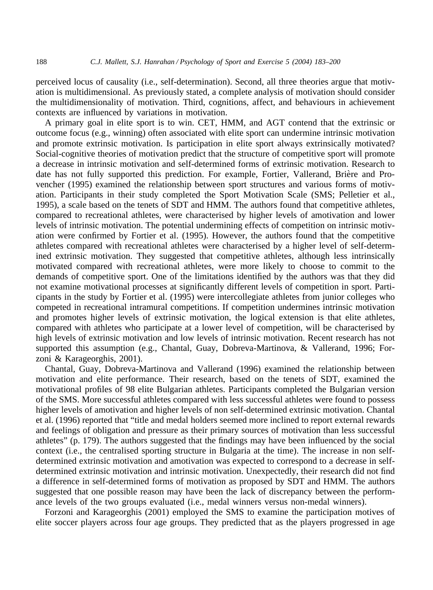perceived locus of causality (i.e., self-determination). Second, all three theories argue that motivation is multidimensional. As previously stated, a complete analysis of motivation should consider the multidimensionality of motivation. Third, cognitions, affect, and behaviours in achievement contexts are influenced by variations in motivation.

A primary goal in elite sport is to win. CET, HMM, and AGT contend that the extrinsic or outcome focus (e.g., winning) often associated with elite sport can undermine intrinsic motivation and promote extrinsic motivation. Is participation in elite sport always extrinsically motivated? Social-cognitive theories of motivation predict that the structure of competitive sport will promote a decrease in intrinsic motivation and self-determined forms of extrinsic motivation. Research to date has not fully supported this prediction. For example, Fortier, Vallerand, Brière and Provencher (1995) examined the relationship between sport structures and various forms of motivation. Participants in their study completed the Sport Motivation Scale (SMS; Pelletier et al., 1995), a scale based on the tenets of SDT and HMM. The authors found that competitive athletes, compared to recreational athletes, were characterised by higher levels of amotivation and lower levels of intrinsic motivation. The potential undermining effects of competition on intrinsic motivation were confirmed by Fortier et al. (1995). However, the authors found that the competitive athletes compared with recreational athletes were characterised by a higher level of self-determined extrinsic motivation. They suggested that competitive athletes, although less intrinsically motivated compared with recreational athletes, were more likely to choose to commit to the demands of competitive sport. One of the limitations identified by the authors was that they did not examine motivational processes at significantly different levels of competition in sport. Participants in the study by Fortier et al. (1995) were intercollegiate athletes from junior colleges who competed in recreational intramural competitions. If competition undermines intrinsic motivation and promotes higher levels of extrinsic motivation, the logical extension is that elite athletes, compared with athletes who participate at a lower level of competition, will be characterised by high levels of extrinsic motivation and low levels of intrinsic motivation. Recent research has not supported this assumption (e.g., Chantal, Guay, Dobreva-Martinova, & Vallerand, 1996; Forzoni & Karageorghis, 2001).

Chantal, Guay, Dobreva-Martinova and Vallerand (1996) examined the relationship between motivation and elite performance. Their research, based on the tenets of SDT, examined the motivational profiles of 98 elite Bulgarian athletes. Participants completed the Bulgarian version of the SMS. More successful athletes compared with less successful athletes were found to possess higher levels of amotivation and higher levels of non self-determined extrinsic motivation. Chantal et al. (1996) reported that "title and medal holders seemed more inclined to report external rewards and feelings of obligation and pressure as their primary sources of motivation than less successful athletes" (p. 179). The authors suggested that the findings may have been influenced by the social context (i.e., the centralised sporting structure in Bulgaria at the time). The increase in non selfdetermined extrinsic motivation and amotivation was expected to correspond to a decrease in selfdetermined extrinsic motivation and intrinsic motivation. Unexpectedly, their research did not find a difference in self-determined forms of motivation as proposed by SDT and HMM. The authors suggested that one possible reason may have been the lack of discrepancy between the performance levels of the two groups evaluated (i.e., medal winners versus non-medal winners).

Forzoni and Karageorghis (2001) employed the SMS to examine the participation motives of elite soccer players across four age groups. They predicted that as the players progressed in age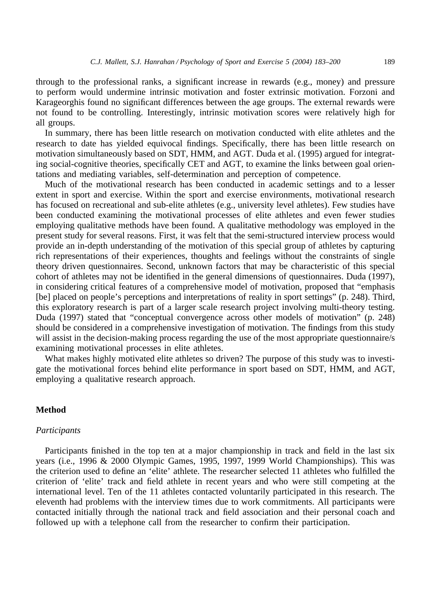through to the professional ranks, a significant increase in rewards (e.g., money) and pressure to perform would undermine intrinsic motivation and foster extrinsic motivation. Forzoni and Karageorghis found no significant differences between the age groups. The external rewards were not found to be controlling. Interestingly, intrinsic motivation scores were relatively high for all groups.

In summary, there has been little research on motivation conducted with elite athletes and the research to date has yielded equivocal findings. Specifically, there has been little research on motivation simultaneously based on SDT, HMM, and AGT. Duda et al. (1995) argued for integrating social-cognitive theories, specifically CET and AGT, to examine the links between goal orientations and mediating variables, self-determination and perception of competence.

Much of the motivational research has been conducted in academic settings and to a lesser extent in sport and exercise. Within the sport and exercise environments, motivational research has focused on recreational and sub-elite athletes (e.g., university level athletes). Few studies have been conducted examining the motivational processes of elite athletes and even fewer studies employing qualitative methods have been found. A qualitative methodology was employed in the present study for several reasons. First, it was felt that the semi-structured interview process would provide an in-depth understanding of the motivation of this special group of athletes by capturing rich representations of their experiences, thoughts and feelings without the constraints of single theory driven questionnaires. Second, unknown factors that may be characteristic of this special cohort of athletes may not be identified in the general dimensions of questionnaires. Duda (1997), in considering critical features of a comprehensive model of motivation, proposed that "emphasis [be] placed on people's perceptions and interpretations of reality in sport settings" (p. 248). Third, this exploratory research is part of a larger scale research project involving multi-theory testing. Duda (1997) stated that "conceptual convergence across other models of motivation" (p. 248) should be considered in a comprehensive investigation of motivation. The findings from this study will assist in the decision-making process regarding the use of the most appropriate questionnaire/s examining motivational processes in elite athletes.

What makes highly motivated elite athletes so driven? The purpose of this study was to investigate the motivational forces behind elite performance in sport based on SDT, HMM, and AGT, employing a qualitative research approach.

# **Method**

#### *Participants*

Participants finished in the top ten at a major championship in track and field in the last six years (i.e., 1996 & 2000 Olympic Games, 1995, 1997, 1999 World Championships). This was the criterion used to define an 'elite' athlete. The researcher selected 11 athletes who fulfilled the criterion of 'elite' track and field athlete in recent years and who were still competing at the international level. Ten of the 11 athletes contacted voluntarily participated in this research. The eleventh had problems with the interview times due to work commitments. All participants were contacted initially through the national track and field association and their personal coach and followed up with a telephone call from the researcher to confirm their participation.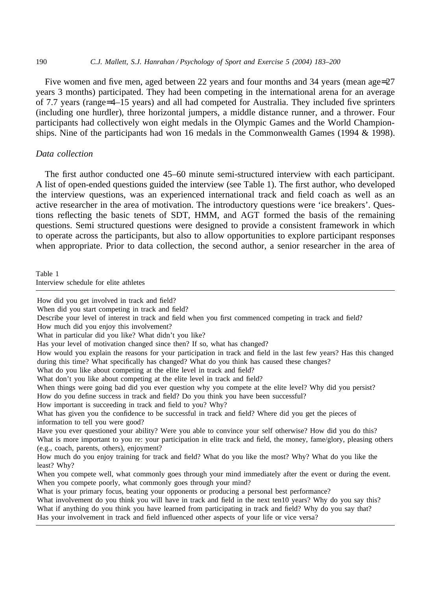Five women and five men, aged between 22 years and four months and 34 years (mean age=27 years 3 months) participated. They had been competing in the international arena for an average of 7.7 years (range=4–15 years) and all had competed for Australia. They included five sprinters (including one hurdler), three horizontal jumpers, a middle distance runner, and a thrower. Four participants had collectively won eight medals in the Olympic Games and the World Championships. Nine of the participants had won 16 medals in the Commonwealth Games (1994 & 1998).

# *Data collection*

The first author conducted one 45–60 minute semi-structured interview with each participant. A list of open-ended questions guided the interview (see Table 1). The first author, who developed the interview questions, was an experienced international track and field coach as well as an active researcher in the area of motivation. The introductory questions were 'ice breakers'. Questions reflecting the basic tenets of SDT, HMM, and AGT formed the basis of the remaining questions. Semi structured questions were designed to provide a consistent framework in which to operate across the participants, but also to allow opportunities to explore participant responses when appropriate. Prior to data collection, the second author, a senior researcher in the area of

Table 1 Interview schedule for elite athletes

How did you get involved in track and field?

When did you start competing in track and field?

Describe your level of interest in track and field when you first commenced competing in track and field?

How much did you enjoy this involvement?

What in particular did you like? What didn't you like?

Has your level of motivation changed since then? If so, what has changed?

How would you explain the reasons for your participation in track and field in the last few years? Has this changed during this time? What specifically has changed? What do you think has caused these changes?

What do you like about competing at the elite level in track and field?

What don't you like about competing at the elite level in track and field?

When things were going bad did you ever question why you compete at the elite level? Why did you persist? How do you define success in track and field? Do you think you have been successful?

How important is succeeding in track and field to you? Why?

What has given you the confidence to be successful in track and field? Where did you get the pieces of information to tell you were good?

Have you ever questioned your ability? Were you able to convince your self otherwise? How did you do this? What is more important to you re: your participation in elite track and field, the money, fame/glory, pleasing others (e.g., coach, parents, others), enjoyment?

What is your primary focus, beating your opponents or producing a personal best performance?

What involvement do you think you will have in track and field in the next ten10 years? Why do you say this? What if anything do you think you have learned from participating in track and field? Why do you say that? Has your involvement in track and field influenced other aspects of your life or vice versa?

How much do you enjoy training for track and field? What do you like the most? Why? What do you like the least? Why?

When you compete well, what commonly goes through your mind immediately after the event or during the event. When you compete poorly, what commonly goes through your mind?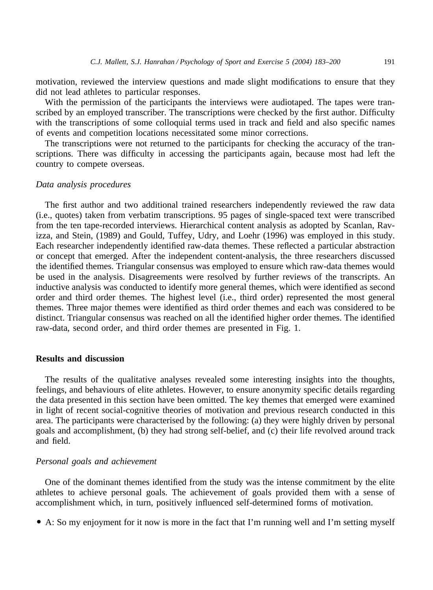motivation, reviewed the interview questions and made slight modifications to ensure that they did not lead athletes to particular responses.

With the permission of the participants the interviews were audiotaped. The tapes were transcribed by an employed transcriber. The transcriptions were checked by the first author. Difficulty with the transcriptions of some colloquial terms used in track and field and also specific names of events and competition locations necessitated some minor corrections.

The transcriptions were not returned to the participants for checking the accuracy of the transcriptions. There was difficulty in accessing the participants again, because most had left the country to compete overseas.

## *Data analysis procedures*

The first author and two additional trained researchers independently reviewed the raw data (i.e., quotes) taken from verbatim transcriptions. 95 pages of single-spaced text were transcribed from the ten tape-recorded interviews. Hierarchical content analysis as adopted by Scanlan, Ravizza, and Stein, (1989) and Gould, Tuffey, Udry, and Loehr (1996) was employed in this study. Each researcher independently identified raw-data themes. These reflected a particular abstraction or concept that emerged. After the independent content-analysis, the three researchers discussed the identified themes. Triangular consensus was employed to ensure which raw-data themes would be used in the analysis. Disagreements were resolved by further reviews of the transcripts. An inductive analysis was conducted to identify more general themes, which were identified as second order and third order themes. The highest level (i.e., third order) represented the most general themes. Three major themes were identified as third order themes and each was considered to be distinct. Triangular consensus was reached on all the identified higher order themes. The identified raw-data, second order, and third order themes are presented in Fig. 1.

## **Results and discussion**

The results of the qualitative analyses revealed some interesting insights into the thoughts, feelings, and behaviours of elite athletes. However, to ensure anonymity specific details regarding the data presented in this section have been omitted. The key themes that emerged were examined in light of recent social-cognitive theories of motivation and previous research conducted in this area. The participants were characterised by the following: (a) they were highly driven by personal goals and accomplishment, (b) they had strong self-belief, and (c) their life revolved around track and field.

#### *Personal goals and achievement*

One of the dominant themes identified from the study was the intense commitment by the elite athletes to achieve personal goals. The achievement of goals provided them with a sense of accomplishment which, in turn, positively influenced self-determined forms of motivation.

A: So my enjoyment for it now is more in the fact that I'm running well and I'm setting myself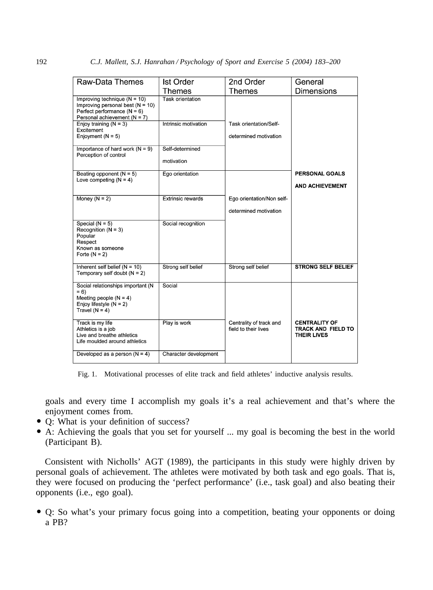| Raw-Data Themes                                                                                                                               | <b>Ist Order</b>              | 2nd Order                                          | General                                                                 |
|-----------------------------------------------------------------------------------------------------------------------------------------------|-------------------------------|----------------------------------------------------|-------------------------------------------------------------------------|
| Improving technique ( $N = 10$ )<br>Improving personal best ( $N = 10$ )<br>Perfect performance $(N = 6)$<br>Personal achievement ( $N = 7$ ) | Themes<br>Task orientation    | Themes                                             | Dimensions                                                              |
| Enjoy training $(N = 3)$<br>Excitement<br>Enjoyment ( $N = 5$ )                                                                               | Intrinsic motivation          | Task orientation/Self-<br>determined motivation    |                                                                         |
| Importance of hard work $(N = 9)$<br>Perception of control                                                                                    | Self-determined<br>motivation |                                                    |                                                                         |
| Beating opponent ( $N = 5$ )<br>Love competing $(N = 4)$                                                                                      | Ego orientation               |                                                    | PERSONAL GOALS<br><b>AND ACHIEVEMENT</b>                                |
| Money $(N = 2)$                                                                                                                               | <b>Extrinsic rewards</b>      | Ego orientation/Non self-<br>determined motivation |                                                                         |
| Special $(N = 5)$<br>Recognition $(N = 3)$<br>Popular<br>Respect<br>Known as someone<br>Forte $(N = 2)$                                       | Social recognition            |                                                    |                                                                         |
| Inherent self belief ( $N = 10$ )<br>Temporary self doubt $(N = 2)$                                                                           | Strong self belief            | Strong self belief                                 | <b>STRONG SELF BELIEF</b>                                               |
| Social relationships important (N<br>$= 6$<br>Meeting people $(N = 4)$<br>Enjoy lifestyle $(N = 2)$<br>Travel $(N = 4)$                       | Social                        |                                                    |                                                                         |
| Track is my life<br>Athletics is a job<br>Live and breathe athletics<br>Life moulded around athletics                                         | Play is work                  | Centrality of track and<br>field to their lives    | <b>CENTRALITY OF</b><br><b>TRACK AND FIELD TO</b><br><b>THEIR LIVES</b> |
| Developed as a person $(N = 4)$                                                                                                               | Character development         |                                                    |                                                                         |

Fig. 1. Motivational processes of elite track and field athletes' inductive analysis results.

goals and every time I accomplish my goals it's a real achievement and that's where the enjoyment comes from.

- Q: What is your definition of success?
- A: Achieving the goals that you set for yourself ... my goal is becoming the best in the world (Participant B).

Consistent with Nicholls' AGT (1989), the participants in this study were highly driven by personal goals of achievement. The athletes were motivated by both task and ego goals. That is, they were focused on producing the 'perfect performance' (i.e., task goal) and also beating their opponents (i.e., ego goal).

 Q: So what's your primary focus going into a competition, beating your opponents or doing a PB?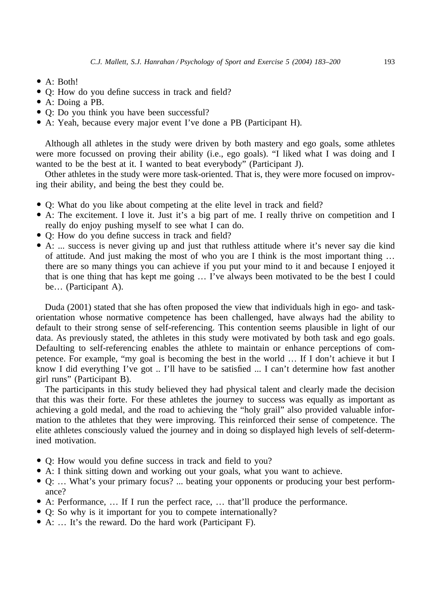- A: Both!
- O: How do you define success in track and field?
- A: Doing a PB.
- Q: Do you think you have been successful?
- A: Yeah, because every major event I've done a PB (Participant H).

Although all athletes in the study were driven by both mastery and ego goals, some athletes were more focussed on proving their ability (i.e., ego goals). "I liked what I was doing and I wanted to be the best at it. I wanted to beat everybody" (Participant J).

Other athletes in the study were more task-oriented. That is, they were more focused on improving their ability, and being the best they could be.

- Q: What do you like about competing at the elite level in track and field?
- A: The excitement. I love it. Just it's a big part of me. I really thrive on competition and I really do enjoy pushing myself to see what I can do.
- O: How do you define success in track and field?
- A: ... success is never giving up and just that ruthless attitude where it's never say die kind of attitude. And just making the most of who you are I think is the most important thing … there are so many things you can achieve if you put your mind to it and because I enjoyed it that is one thing that has kept me going … I've always been motivated to be the best I could be… (Participant A).

Duda (2001) stated that she has often proposed the view that individuals high in ego- and taskorientation whose normative competence has been challenged, have always had the ability to default to their strong sense of self-referencing. This contention seems plausible in light of our data. As previously stated, the athletes in this study were motivated by both task and ego goals. Defaulting to self-referencing enables the athlete to maintain or enhance perceptions of competence. For example, "my goal is becoming the best in the world … If I don't achieve it but I know I did everything I've got .. I'll have to be satisfied ... I can't determine how fast another girl runs" (Participant B).

The participants in this study believed they had physical talent and clearly made the decision that this was their forte. For these athletes the journey to success was equally as important as achieving a gold medal, and the road to achieving the "holy grail" also provided valuable information to the athletes that they were improving. This reinforced their sense of competence. The elite athletes consciously valued the journey and in doing so displayed high levels of self-determined motivation.

- Q: How would you define success in track and field to you?
- A: I think sitting down and working out your goals, what you want to achieve.
- Q: … What's your primary focus? ... beating your opponents or producing your best performance?
- A: Performance, … If I run the perfect race, … that'll produce the performance.
- Q: So why is it important for you to compete internationally?
- A: … It's the reward. Do the hard work (Participant F).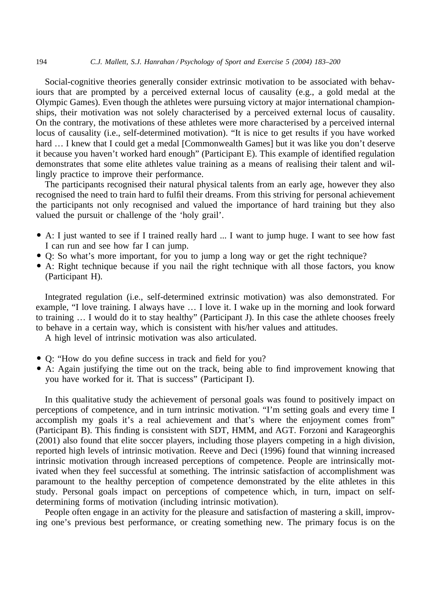Social-cognitive theories generally consider extrinsic motivation to be associated with behaviours that are prompted by a perceived external locus of causality (e.g., a gold medal at the Olympic Games). Even though the athletes were pursuing victory at major international championships, their motivation was not solely characterised by a perceived external locus of causality. On the contrary, the motivations of these athletes were more characterised by a perceived internal locus of causality (i.e., self-determined motivation). "It is nice to get results if you have worked hard ... I knew that I could get a medal [Commonwealth Games] but it was like you don't deserve it because you haven't worked hard enough" (Participant E). This example of identified regulation demonstrates that some elite athletes value training as a means of realising their talent and willingly practice to improve their performance.

The participants recognised their natural physical talents from an early age, however they also recognised the need to train hard to fulfil their dreams. From this striving for personal achievement the participants not only recognised and valued the importance of hard training but they also valued the pursuit or challenge of the 'holy grail'.

- A: I just wanted to see if I trained really hard ... I want to jump huge. I want to see how fast I can run and see how far I can jump.
- Q: So what's more important, for you to jump a long way or get the right technique?
- A: Right technique because if you nail the right technique with all those factors, you know (Participant H).

Integrated regulation (i.e., self-determined extrinsic motivation) was also demonstrated. For example, "I love training. I always have … I love it. I wake up in the morning and look forward to training … I would do it to stay healthy" (Participant J). In this case the athlete chooses freely to behave in a certain way, which is consistent with his/her values and attitudes.

A high level of intrinsic motivation was also articulated.

- Q: "How do you define success in track and field for you?
- A: Again justifying the time out on the track, being able to find improvement knowing that you have worked for it. That is success" (Participant I).

In this qualitative study the achievement of personal goals was found to positively impact on perceptions of competence, and in turn intrinsic motivation. "I'm setting goals and every time I accomplish my goals it's a real achievement and that's where the enjoyment comes from" (Participant B). This finding is consistent with SDT, HMM, and AGT. Forzoni and Karageorghis (2001) also found that elite soccer players, including those players competing in a high division, reported high levels of intrinsic motivation. Reeve and Deci (1996) found that winning increased intrinsic motivation through increased perceptions of competence. People are intrinsically motivated when they feel successful at something. The intrinsic satisfaction of accomplishment was paramount to the healthy perception of competence demonstrated by the elite athletes in this study. Personal goals impact on perceptions of competence which, in turn, impact on selfdetermining forms of motivation (including intrinsic motivation).

People often engage in an activity for the pleasure and satisfaction of mastering a skill, improving one's previous best performance, or creating something new. The primary focus is on the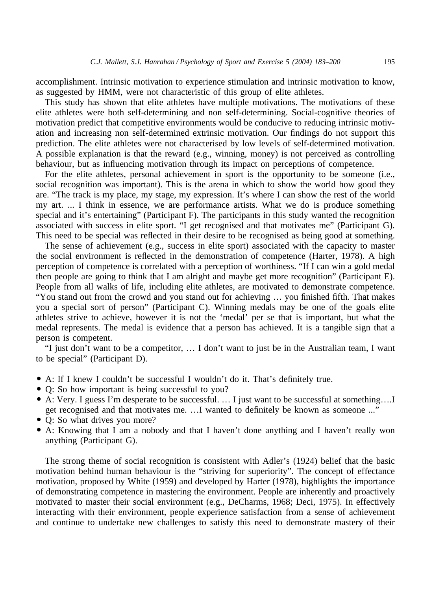accomplishment. Intrinsic motivation to experience stimulation and intrinsic motivation to know, as suggested by HMM, were not characteristic of this group of elite athletes.

This study has shown that elite athletes have multiple motivations. The motivations of these elite athletes were both self-determining and non self-determining. Social-cognitive theories of motivation predict that competitive environments would be conducive to reducing intrinsic motivation and increasing non self-determined extrinsic motivation. Our findings do not support this prediction. The elite athletes were not characterised by low levels of self-determined motivation. A possible explanation is that the reward (e.g., winning, money) is not perceived as controlling behaviour, but as influencing motivation through its impact on perceptions of competence.

For the elite athletes, personal achievement in sport is the opportunity to be someone (i.e., social recognition was important). This is the arena in which to show the world how good they are. "The track is my place, my stage, my expression. It's where I can show the rest of the world my art. ... I think in essence, we are performance artists. What we do is produce something special and it's entertaining" (Participant F). The participants in this study wanted the recognition associated with success in elite sport. "I get recognised and that motivates me" (Participant G). This need to be special was reflected in their desire to be recognised as being good at something.

The sense of achievement (e.g., success in elite sport) associated with the capacity to master the social environment is reflected in the demonstration of competence (Harter, 1978). A high perception of competence is correlated with a perception of worthiness. "If I can win a gold medal then people are going to think that I am alright and maybe get more recognition" (Participant E). People from all walks of life, including elite athletes, are motivated to demonstrate competence. "You stand out from the crowd and you stand out for achieving … you finished fifth. That makes you a special sort of person" (Participant C). Winning medals may be one of the goals elite athletes strive to achieve, however it is not the 'medal' per se that is important, but what the medal represents. The medal is evidence that a person has achieved. It is a tangible sign that a person is competent.

"I just don't want to be a competitor, … I don't want to just be in the Australian team, I want to be special" (Participant D).

- A: If I knew I couldn't be successful I wouldn't do it. That's definitely true.
- Q: So how important is being successful to you?
- A: Very. I guess I'm desperate to be successful. … I just want to be successful at something….I get recognised and that motivates me. …I wanted to definitely be known as someone ..."
- O: So what drives you more?
- A: Knowing that I am a nobody and that I haven't done anything and I haven't really won anything (Participant G).

The strong theme of social recognition is consistent with Adler's (1924) belief that the basic motivation behind human behaviour is the "striving for superiority". The concept of effectance motivation, proposed by White (1959) and developed by Harter (1978), highlights the importance of demonstrating competence in mastering the environment. People are inherently and proactively motivated to master their social environment (e.g., DeCharms, 1968; Deci, 1975). In effectively interacting with their environment, people experience satisfaction from a sense of achievement and continue to undertake new challenges to satisfy this need to demonstrate mastery of their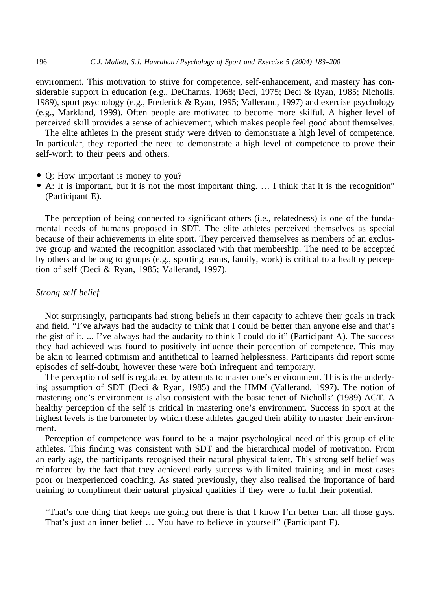environment. This motivation to strive for competence, self-enhancement, and mastery has considerable support in education (e.g., DeCharms, 1968; Deci, 1975; Deci & Ryan, 1985; Nicholls, 1989), sport psychology (e.g., Frederick & Ryan, 1995; Vallerand, 1997) and exercise psychology (e.g., Markland, 1999). Often people are motivated to become more skilful. A higher level of perceived skill provides a sense of achievement, which makes people feel good about themselves.

The elite athletes in the present study were driven to demonstrate a high level of competence. In particular, they reported the need to demonstrate a high level of competence to prove their self-worth to their peers and others.

- Q: How important is money to you?
- A: It is important, but it is not the most important thing. … I think that it is the recognition" (Participant E).

The perception of being connected to significant others (i.e., relatedness) is one of the fundamental needs of humans proposed in SDT. The elite athletes perceived themselves as special because of their achievements in elite sport. They perceived themselves as members of an exclusive group and wanted the recognition associated with that membership. The need to be accepted by others and belong to groups (e.g., sporting teams, family, work) is critical to a healthy perception of self (Deci & Ryan, 1985; Vallerand, 1997).

## *Strong self belief*

Not surprisingly, participants had strong beliefs in their capacity to achieve their goals in track and field. "I've always had the audacity to think that I could be better than anyone else and that's the gist of it. ... I've always had the audacity to think I could do it" (Participant A). The success they had achieved was found to positively influence their perception of competence. This may be akin to learned optimism and antithetical to learned helplessness. Participants did report some episodes of self-doubt, however these were both infrequent and temporary.

The perception of self is regulated by attempts to master one's environment. This is the underlying assumption of SDT (Deci & Ryan, 1985) and the HMM (Vallerand, 1997). The notion of mastering one's environment is also consistent with the basic tenet of Nicholls' (1989) AGT. A healthy perception of the self is critical in mastering one's environment. Success in sport at the highest levels is the barometer by which these athletes gauged their ability to master their environment.

Perception of competence was found to be a major psychological need of this group of elite athletes. This finding was consistent with SDT and the hierarchical model of motivation. From an early age, the participants recognised their natural physical talent. This strong self belief was reinforced by the fact that they achieved early success with limited training and in most cases poor or inexperienced coaching. As stated previously, they also realised the importance of hard training to compliment their natural physical qualities if they were to fulfil their potential.

"That's one thing that keeps me going out there is that I know I'm better than all those guys. That's just an inner belief … You have to believe in yourself" (Participant F).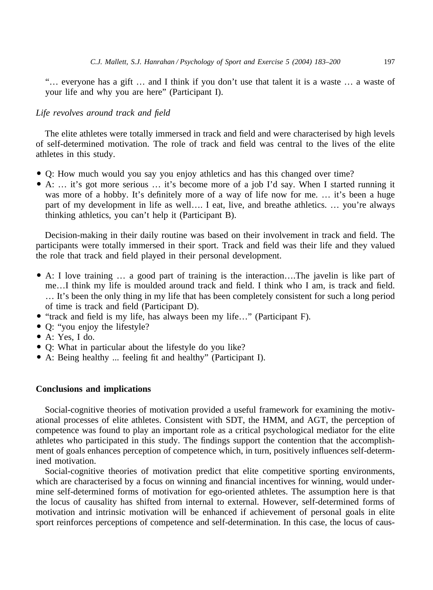"… everyone has a gift … and I think if you don't use that talent it is a waste … a waste of your life and why you are here" (Participant I).

## *Life revolves around track and field*

The elite athletes were totally immersed in track and field and were characterised by high levels of self-determined motivation. The role of track and field was central to the lives of the elite athletes in this study.

- Q: How much would you say you enjoy athletics and has this changed over time?
- A: … it's got more serious … it's become more of a job I'd say. When I started running it was more of a hobby. It's definitely more of a way of life now for me. ... it's been a huge part of my development in life as well…. I eat, live, and breathe athletics. … you're always thinking athletics, you can't help it (Participant B).

Decision-making in their daily routine was based on their involvement in track and field. The participants were totally immersed in their sport. Track and field was their life and they valued the role that track and field played in their personal development.

- A: I love training … a good part of training is the interaction….The javelin is like part of me…I think my life is moulded around track and field. I think who I am, is track and field. … It's been the only thing in my life that has been completely consistent for such a long period of time is track and field (Participant D).
- "track and field is my life, has always been my life…" (Participant F).
- Q: "you enjoy the lifestyle?
- A: Yes, I do.
- Q: What in particular about the lifestyle do you like?
- A: Being healthy ... feeling fit and healthy" (Participant I).

#### **Conclusions and implications**

Social-cognitive theories of motivation provided a useful framework for examining the motivational processes of elite athletes. Consistent with SDT, the HMM, and AGT, the perception of competence was found to play an important role as a critical psychological mediator for the elite athletes who participated in this study. The findings support the contention that the accomplishment of goals enhances perception of competence which, in turn, positively influences self-determined motivation.

Social-cognitive theories of motivation predict that elite competitive sporting environments, which are characterised by a focus on winning and financial incentives for winning, would undermine self-determined forms of motivation for ego-oriented athletes. The assumption here is that the locus of causality has shifted from internal to external. However, self-determined forms of motivation and intrinsic motivation will be enhanced if achievement of personal goals in elite sport reinforces perceptions of competence and self-determination. In this case, the locus of caus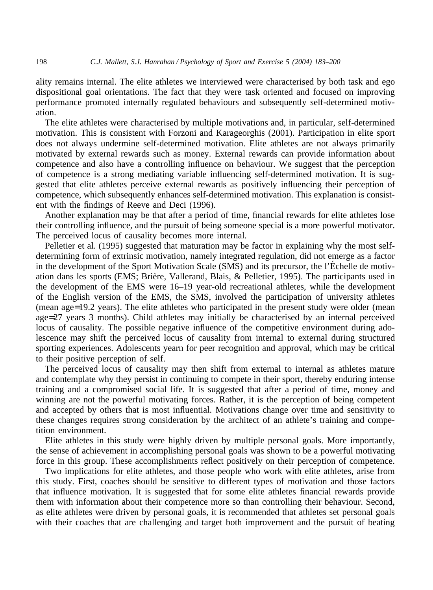ality remains internal. The elite athletes we interviewed were characterised by both task and ego dispositional goal orientations. The fact that they were task oriented and focused on improving performance promoted internally regulated behaviours and subsequently self-determined motivation.

The elite athletes were characterised by multiple motivations and, in particular, self-determined motivation. This is consistent with Forzoni and Karageorghis (2001). Participation in elite sport does not always undermine self-determined motivation. Elite athletes are not always primarily motivated by external rewards such as money. External rewards can provide information about competence and also have a controlling influence on behaviour. We suggest that the perception of competence is a strong mediating variable influencing self-determined motivation. It is suggested that elite athletes perceive external rewards as positively influencing their perception of competence, which subsequently enhances self-determined motivation. This explanation is consistent with the findings of Reeve and Deci (1996).

Another explanation may be that after a period of time, financial rewards for elite athletes lose their controlling influence, and the pursuit of being someone special is a more powerful motivator. The perceived locus of causality becomes more internal.

Pelletier et al. (1995) suggested that maturation may be factor in explaining why the most selfdetermining form of extrinsic motivation, namely integrated regulation, did not emerge as a factor in the development of the Sport Motivation Scale (SMS) and its precursor, the l'Échelle de motivation dans les sports (EMS; Brière, Vallerand, Blais, & Pelletier, 1995). The participants used in the development of the EMS were 16–19 year-old recreational athletes, while the development of the English version of the EMS, the SMS, involved the participation of university athletes (mean age=19.2 years). The elite athletes who participated in the present study were older (mean age=27 years 3 months). Child athletes may initially be characterised by an internal perceived locus of causality. The possible negative influence of the competitive environment during adolescence may shift the perceived locus of causality from internal to external during structured sporting experiences. Adolescents yearn for peer recognition and approval, which may be critical to their positive perception of self.

The perceived locus of causality may then shift from external to internal as athletes mature and contemplate why they persist in continuing to compete in their sport, thereby enduring intense training and a compromised social life. It is suggested that after a period of time, money and winning are not the powerful motivating forces. Rather, it is the perception of being competent and accepted by others that is most influential. Motivations change over time and sensitivity to these changes requires strong consideration by the architect of an athlete's training and competition environment.

Elite athletes in this study were highly driven by multiple personal goals. More importantly, the sense of achievement in accomplishing personal goals was shown to be a powerful motivating force in this group. These accomplishments reflect positively on their perception of competence.

Two implications for elite athletes, and those people who work with elite athletes, arise from this study. First, coaches should be sensitive to different types of motivation and those factors that influence motivation. It is suggested that for some elite athletes financial rewards provide them with information about their competence more so than controlling their behaviour. Second, as elite athletes were driven by personal goals, it is recommended that athletes set personal goals with their coaches that are challenging and target both improvement and the pursuit of beating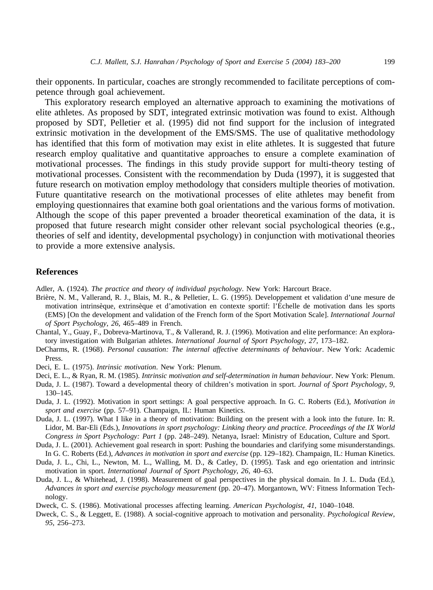their opponents. In particular, coaches are strongly recommended to facilitate perceptions of competence through goal achievement.

This exploratory research employed an alternative approach to examining the motivations of elite athletes. As proposed by SDT, integrated extrinsic motivation was found to exist. Although proposed by SDT, Pelletier et al. (1995) did not find support for the inclusion of integrated extrinsic motivation in the development of the EMS/SMS. The use of qualitative methodology has identified that this form of motivation may exist in elite athletes. It is suggested that future research employ qualitative and quantitative approaches to ensure a complete examination of motivational processes. The findings in this study provide support for multi-theory testing of motivational processes. Consistent with the recommendation by Duda (1997), it is suggested that future research on motivation employ methodology that considers multiple theories of motivation. Future quantitative research on the motivational processes of elite athletes may benefit from employing questionnaires that examine both goal orientations and the various forms of motivation. Although the scope of this paper prevented a broader theoretical examination of the data, it is proposed that future research might consider other relevant social psychological theories (e.g., theories of self and identity, developmental psychology) in conjunction with motivational theories to provide a more extensive analysis.

## **References**

Adler, A. (1924). *The practice and theory of individual psychology*. New York: Harcourt Brace.

- Brière, N. M., Vallerand, R. J., Blais, M. R., & Pelletier, L. G. (1995). Developpement et validation d'une mesure de motivation intrinsèque, extrinsèque et d'amotivation en contexte sportif: l'Échelle de motivation dans les sports (EMS) [On the development and validation of the French form of the Sport Motivation Scale]. *International Journal of Sport Psychology*, *26*, 465–489 in French.
- Chantal, Y., Guay, F., Dobreva-Martinova, T., & Vallerand, R. J. (1996). Motivation and elite performance: An exploratory investigation with Bulgarian athletes. *International Journal of Sport Psychology*, *27*, 173–182.
- DeCharms, R. (1968). *Personal causation: The internal affective determinants of behaviour*. New York: Academic Press.
- Deci, E. L. (1975). *Intrinsic motivation*. New York: Plenum.
- Deci, E. L., & Ryan, R. M. (1985). *Intrinsic motivation and self-determination in human behaviour*. New York: Plenum.
- Duda, J. L. (1987). Toward a developmental theory of children's motivation in sport. *Journal of Sport Psychology*, *9*, 130–145.
- Duda, J. L. (1992). Motivation in sport settings: A goal perspective approach. In G. C. Roberts (Ed.), *Motivation in sport and exercise* (pp. 57–91). Champaign, IL: Human Kinetics.
- Duda, J. L. (1997). What I like in a theory of motivation: Building on the present with a look into the future. In: R. Lidor, M. Bar-Eli (Eds.), *Innovations in sport psychology: Linking theory and practice. Proceedings of the IX World Congress in Sport Psychology: Part 1* (pp. 248–249). Netanya, Israel: Ministry of Education, Culture and Sport.
- Duda, J. L. (2001). Achievement goal research in sport: Pushing the boundaries and clarifying some misunderstandings. In G. C. Roberts (Ed.), *Advances in motivation in sport and exercise* (pp. 129–182). Champaign, IL: Human Kinetics.
- Duda, J. L., Chi, L., Newton, M. L., Walling, M. D., & Catley, D. (1995). Task and ego orientation and intrinsic motivation in sport. *International Journal of Sport Psychology*, *26*, 40–63.
- Duda, J. L., & Whitehead, J. (1998). Measurement of goal perspectives in the physical domain. In J. L. Duda (Ed.), *Advances in sport and exercise psychology measurement* (pp. 20–47). Morgantown, WV: Fitness Information Technology.
- Dweck, C. S. (1986). Motivational processes affecting learning. *American Psychologist*, *41*, 1040–1048.
- Dweck, C. S., & Leggett, E. (1988). A social-cognitive approach to motivation and personality. *Psychological Review*, *95*, 256–273.